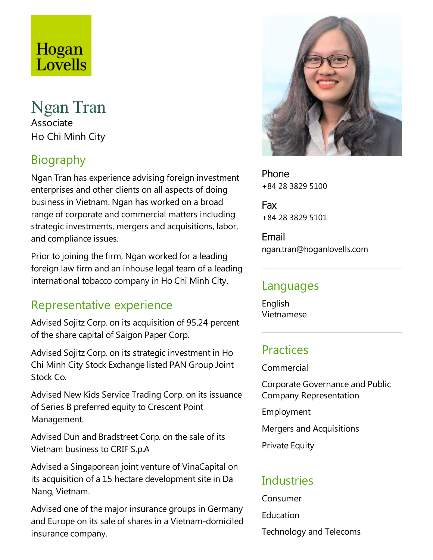# Hogan Lovells

# Ngan Tran Associate Ho Chi Minh City

# Biography

Ngan Tran has experience advising foreign investment enterprises and other clients on all aspects of doing business in Vietnam. Ngan has worked on a broad range of corporate and commercial matters including strategic investments, mergers and acquisitions, labor, and compliance issues.

Prior to joining the firm, Ngan worked for a leading foreign law firm and an inhouse legal team of a leading international tobacco company in Ho Chi Minh City.

## Representative experience

Advised Sojitz Corp. on its acquisition of 95.24 percent of the share capital of Saigon Paper Corp.

Advised Sojitz Corp. on its strategic investment in Ho Chi Minh City Stock Exchangelisted PAN Group Joint Stock Co.

Advised New Kids Service Trading Corp. on its issuance of Series B preferred equity to Crescent Point Management.

Advised Dun and Bradstreet Corp. on the sale of its Vietnam business to CRIF S.p.A

Advised a Singaporean joint venture of VinaCapital on its acquisition of a 15 hectare development site in Da Nang, Vietnam.

Advised one of the major insurance groups in Germany and Europe on its sale of shares in a Vietnam-domiciled insurance company.



Phone +84 28 3829 5100

Fax +84 28 3829 5101

Email ngan.tran@hoganlovells.com

#### Languages

English Vietnamese

### **Practices**

Commercial

Corporate Governanceand Public Company Representation

Employment

Mergers and Acquisitions

Private Equity

## Industries

Consumer

**Education** 

Technology and Telecoms